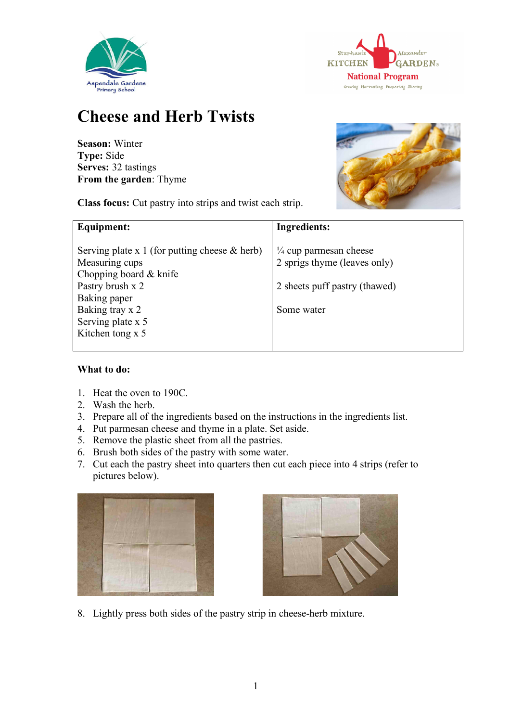



## **Cheese and Herb Twists**

**Season:** Winter **Type:** Side **Serves:** 32 tastings **From the garden**: Thyme

**Class focus:** Cut pastry into strips and twist each strip.



| Equipment:                                                                                                                       | Ingredients:                                                                                       |
|----------------------------------------------------------------------------------------------------------------------------------|----------------------------------------------------------------------------------------------------|
| Serving plate x 1 (for putting cheese $\&$ herb)<br>Measuring cups<br>Chopping board & knife<br>Pastry brush x 2<br>Baking paper | $\frac{1}{4}$ cup parmesan cheese<br>2 sprigs thyme (leaves only)<br>2 sheets puff pastry (thawed) |
| Baking tray x 2<br>Serving plate x 5<br>Kitchen tong x 5                                                                         | Some water                                                                                         |

## **What to do:**

- 1. Heat the oven to 190C.
- 2. Wash the herb.
- 3. Prepare all of the ingredients based on the instructions in the ingredients list.
- 4. Put parmesan cheese and thyme in a plate. Set aside.
- 5. Remove the plastic sheet from all the pastries.
- 6. Brush both sides of the pastry with some water.
- 7. Cut each the pastry sheet into quarters then cut each piece into 4 strips (refer to pictures below).





8. Lightly press both sides of the pastry strip in cheese-herb mixture.